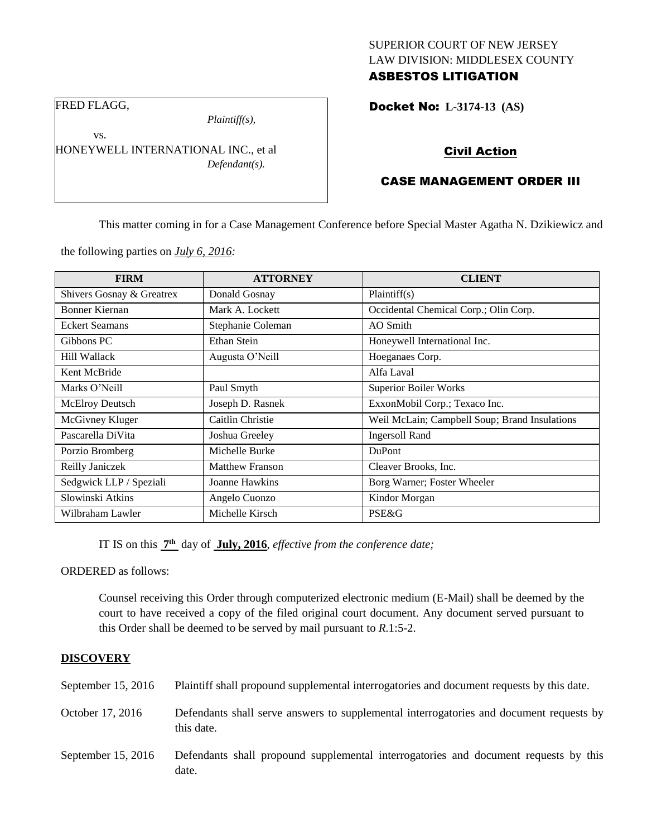## SUPERIOR COURT OF NEW JERSEY LAW DIVISION: MIDDLESEX COUNTY

## ASBESTOS LITIGATION

Docket No: **L-3174-13 (AS)** 

FRED FLAGG,

vs.

*Plaintiff(s),*

HONEYWELL INTERNATIONAL INC., et al *Defendant(s).*

# Civil Action

### CASE MANAGEMENT ORDER III

This matter coming in for a Case Management Conference before Special Master Agatha N. Dzikiewicz and

the following parties on *July 6, 2016:*

| <b>FIRM</b>               | <b>ATTORNEY</b>        | <b>CLIENT</b>                                 |
|---------------------------|------------------------|-----------------------------------------------|
| Shivers Gosnay & Greatrex | Donald Gosnay          | Plaintiff(s)                                  |
| Bonner Kiernan            | Mark A. Lockett        | Occidental Chemical Corp.; Olin Corp.         |
| <b>Eckert Seamans</b>     | Stephanie Coleman      | AO Smith                                      |
| Gibbons PC                | Ethan Stein            | Honeywell International Inc.                  |
| Hill Wallack              | Augusta O'Neill        | Hoeganaes Corp.                               |
| Kent McBride              |                        | Alfa Laval                                    |
| Marks O'Neill             | Paul Smyth             | <b>Superior Boiler Works</b>                  |
| <b>McElroy Deutsch</b>    | Joseph D. Rasnek       | ExxonMobil Corp.; Texaco Inc.                 |
| McGivney Kluger           | Caitlin Christie       | Weil McLain; Campbell Soup; Brand Insulations |
| Pascarella DiVita         | Joshua Greeley         | <b>Ingersoll Rand</b>                         |
| Porzio Bromberg           | Michelle Burke         | <b>DuPont</b>                                 |
| Reilly Janiczek           | <b>Matthew Franson</b> | Cleaver Brooks, Inc.                          |
| Sedgwick LLP / Speziali   | Joanne Hawkins         | Borg Warner; Foster Wheeler                   |
| Slowinski Atkins          | Angelo Cuonzo          | Kindor Morgan                                 |
| Wilbraham Lawler          | Michelle Kirsch        | PSE&G                                         |

IT IS on this **7 th** day of **July, 2016**, *effective from the conference date;*

ORDERED as follows:

Counsel receiving this Order through computerized electronic medium (E-Mail) shall be deemed by the court to have received a copy of the filed original court document. Any document served pursuant to this Order shall be deemed to be served by mail pursuant to *R*.1:5-2.

#### **DISCOVERY**

| September $15, 2016$ | Plaintiff shall propound supplemental interrogatories and document requests by this date.             |
|----------------------|-------------------------------------------------------------------------------------------------------|
| October 17, 2016     | Defendants shall serve answers to supplemental interrogatories and document requests by<br>this date. |
| September $15, 2016$ | Defendants shall propound supplemental interrogatories and document requests by this<br>date.         |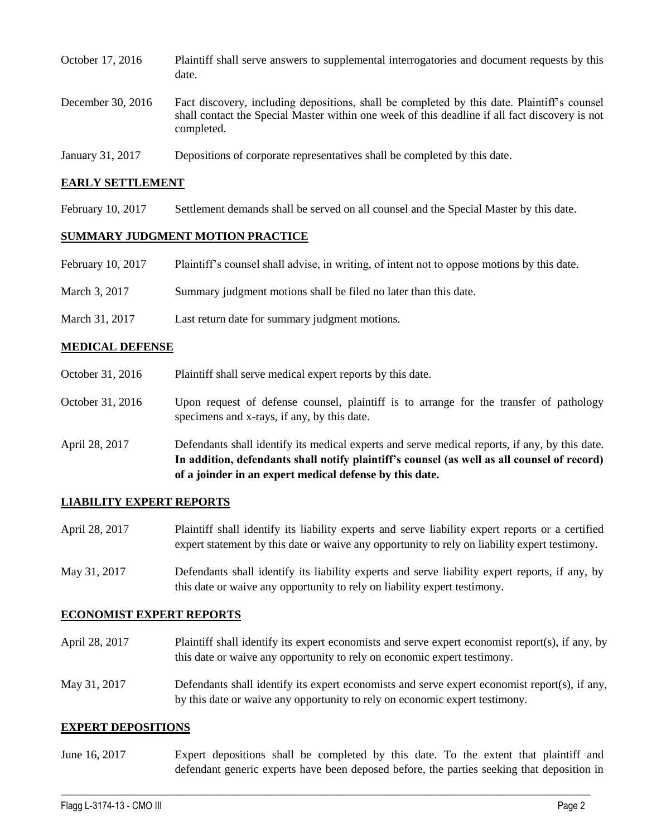| October 17, 2016  | Plaintiff shall serve answers to supplemental interrogatories and document requests by this<br>date.                                                                                                        |
|-------------------|-------------------------------------------------------------------------------------------------------------------------------------------------------------------------------------------------------------|
| December 30, 2016 | Fact discovery, including depositions, shall be completed by this date. Plaintiff's counsel<br>shall contact the Special Master within one week of this deadline if all fact discovery is not<br>completed. |
| January 31, 2017  | Depositions of corporate representatives shall be completed by this date.                                                                                                                                   |

#### **EARLY SETTLEMENT**

February 10, 2017 Settlement demands shall be served on all counsel and the Special Master by this date.

#### **SUMMARY JUDGMENT MOTION PRACTICE**

| February 10, 2017 | Plaintiff's counsel shall advise, in writing, of intent not to oppose motions by this date. |
|-------------------|---------------------------------------------------------------------------------------------|
| March 3, 2017     | Summary judgment motions shall be filed no later than this date.                            |

March 31, 2017 Last return date for summary judgment motions.

#### **MEDICAL DEFENSE**

| October 31, 2016 | Plaintiff shall serve medical expert reports by this date.                                                                            |
|------------------|---------------------------------------------------------------------------------------------------------------------------------------|
| October 31, 2016 | Upon request of defense counsel, plaintiff is to arrange for the transfer of pathology<br>specimens and x-rays, if any, by this date. |

April 28, 2017 Defendants shall identify its medical experts and serve medical reports, if any, by this date. **In addition, defendants shall notify plaintiff's counsel (as well as all counsel of record) of a joinder in an expert medical defense by this date.**

#### **LIABILITY EXPERT REPORTS**

April 28, 2017 Plaintiff shall identify its liability experts and serve liability expert reports or a certified expert statement by this date or waive any opportunity to rely on liability expert testimony.

May 31, 2017 Defendants shall identify its liability experts and serve liability expert reports, if any, by this date or waive any opportunity to rely on liability expert testimony.

#### **ECONOMIST EXPERT REPORTS**

- April 28, 2017 Plaintiff shall identify its expert economists and serve expert economist report(s), if any, by this date or waive any opportunity to rely on economic expert testimony.
- May 31, 2017 Defendants shall identify its expert economists and serve expert economist report(s), if any, by this date or waive any opportunity to rely on economic expert testimony.

#### **EXPERT DEPOSITIONS**

June 16, 2017 Expert depositions shall be completed by this date. To the extent that plaintiff and defendant generic experts have been deposed before, the parties seeking that deposition in

 $\_$  , and the state of the state of the state of the state of the state of the state of the state of the state of the state of the state of the state of the state of the state of the state of the state of the state of the